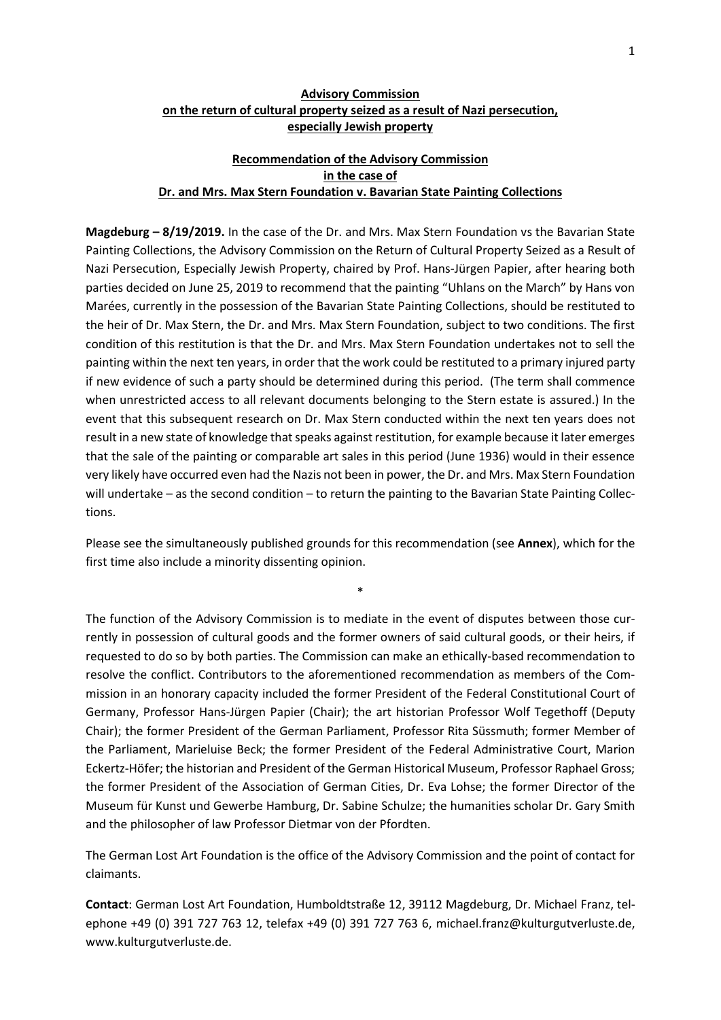### **Advisory Commission on the return of cultural property seized as a result of Nazi persecution, especially Jewish property**

### **Recommendation of the Advisory Commission in the case of Dr. and Mrs. Max Stern Foundation v. Bavarian State Painting Collections**

**Magdeburg – 8/19/2019.** In the case of the Dr. and Mrs. Max Stern Foundation vs the Bavarian State Painting Collections, the Advisory Commission on the Return of Cultural Property Seized as a Result of Nazi Persecution, Especially Jewish Property, chaired by Prof. Hans-Jürgen Papier, after hearing both parties decided on June 25, 2019 to recommend that the painting "Uhlans on the March" by Hans von Marées, currently in the possession of the Bavarian State Painting Collections, should be restituted to the heir of Dr. Max Stern, the Dr. and Mrs. Max Stern Foundation, subject to two conditions. The first condition of this restitution is that the Dr. and Mrs. Max Stern Foundation undertakes not to sell the painting within the next ten years, in order that the work could be restituted to a primary injured party if new evidence of such a party should be determined during this period. (The term shall commence when unrestricted access to all relevant documents belonging to the Stern estate is assured.) In the event that this subsequent research on Dr. Max Stern conducted within the next ten years does not result in a new state of knowledge that speaks against restitution, for example because it later emerges that the sale of the painting or comparable art sales in this period (June 1936) would in their essence very likely have occurred even had the Nazis not been in power, the Dr. and Mrs. Max Stern Foundation will undertake – as the second condition – to return the painting to the Bavarian State Painting Collections.

Please see the simultaneously published grounds for this recommendation (see **Annex**), which for the first time also include a minority dissenting opinion.

\*

The function of the Advisory Commission is to mediate in the event of disputes between those currently in possession of cultural goods and the former owners of said cultural goods, or their heirs, if requested to do so by both parties. The Commission can make an ethically-based recommendation to resolve the conflict. Contributors to the aforementioned recommendation as members of the Commission in an honorary capacity included the former President of the Federal Constitutional Court of Germany, Professor Hans-Jürgen Papier (Chair); the art historian Professor Wolf Tegethoff (Deputy Chair); the former President of the German Parliament, Professor Rita Süssmuth; former Member of the Parliament, Marieluise Beck; the former President of the Federal Administrative Court, Marion Eckertz-Höfer; the historian and President of the German Historical Museum, Professor Raphael Gross; the former President of the Association of German Cities, Dr. Eva Lohse; the former Director of the Museum für Kunst und Gewerbe Hamburg, Dr. Sabine Schulze; the humanities scholar Dr. Gary Smith and the philosopher of law Professor Dietmar von der Pfordten.

The German Lost Art Foundation is the office of the Advisory Commission and the point of contact for claimants.

**Contact**: German Lost Art Foundation, Humboldtstraße 12, 39112 Magdeburg, Dr. Michael Franz, telephone +49 (0) 391 727 763 12, telefax +49 (0) 391 727 763 6, michael.franz@kulturgutverluste.de, [www.kulturgutverluste.de.](http://www.kulturgutverluste.de/)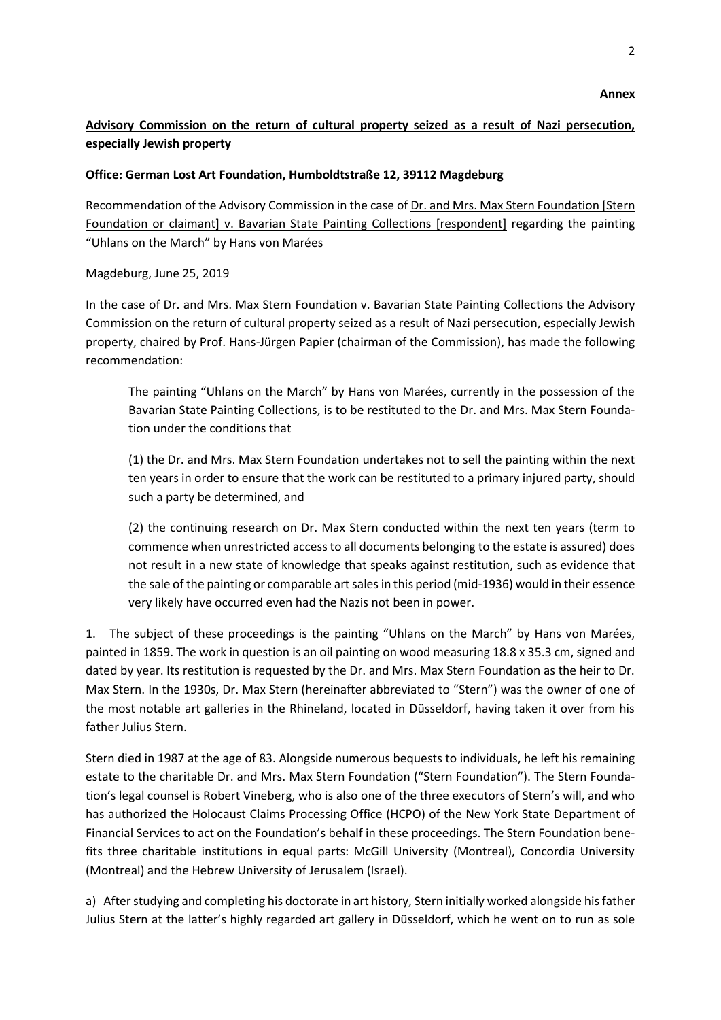# **Advisory Commission on the return of cultural property seized as a result of Nazi persecution, especially Jewish property**

## **Office: German Lost Art Foundation, Humboldtstraße 12, 39112 Magdeburg**

Recommendation of the Advisory Commission in the case of Dr. and Mrs. Max Stern Foundation [Stern Foundation or claimant] v. Bavarian State Painting Collections [respondent] regarding the painting "Uhlans on the March" by Hans von Marées

Magdeburg, June 25, 2019

In the case of Dr. and Mrs. Max Stern Foundation v. Bavarian State Painting Collections the Advisory Commission on the return of cultural property seized as a result of Nazi persecution, especially Jewish property, chaired by Prof. Hans-Jürgen Papier (chairman of the Commission), has made the following recommendation:

The painting "Uhlans on the March" by Hans von Marées, currently in the possession of the Bavarian State Painting Collections, is to be restituted to the Dr. and Mrs. Max Stern Foundation under the conditions that

(1) the Dr. and Mrs. Max Stern Foundation undertakes not to sell the painting within the next ten years in order to ensure that the work can be restituted to a primary injured party, should such a party be determined, and

(2) the continuing research on Dr. Max Stern conducted within the next ten years (term to commence when unrestricted access to all documents belonging to the estate is assured) does not result in a new state of knowledge that speaks against restitution, such as evidence that the sale of the painting or comparable art sales in this period (mid-1936) would in their essence very likely have occurred even had the Nazis not been in power.

1. The subject of these proceedings is the painting "Uhlans on the March" by Hans von Marées, painted in 1859. The work in question is an oil painting on wood measuring 18.8 x 35.3 cm, signed and dated by year. Its restitution is requested by the Dr. and Mrs. Max Stern Foundation as the heir to Dr. Max Stern. In the 1930s, Dr. Max Stern (hereinafter abbreviated to "Stern") was the owner of one of the most notable art galleries in the Rhineland, located in Düsseldorf, having taken it over from his father Julius Stern.

Stern died in 1987 at the age of 83. Alongside numerous bequests to individuals, he left his remaining estate to the charitable Dr. and Mrs. Max Stern Foundation ("Stern Foundation"). The Stern Foundation's legal counsel is Robert Vineberg, who is also one of the three executors of Stern's will, and who has authorized the Holocaust Claims Processing Office (HCPO) of the New York State Department of Financial Services to act on the Foundation's behalf in these proceedings. The Stern Foundation benefits three charitable institutions in equal parts: McGill University (Montreal), Concordia University (Montreal) and the Hebrew University of Jerusalem (Israel).

a) After studying and completing his doctorate in art history, Stern initially worked alongside his father Julius Stern at the latter's highly regarded art gallery in Düsseldorf, which he went on to run as sole

 **Annex**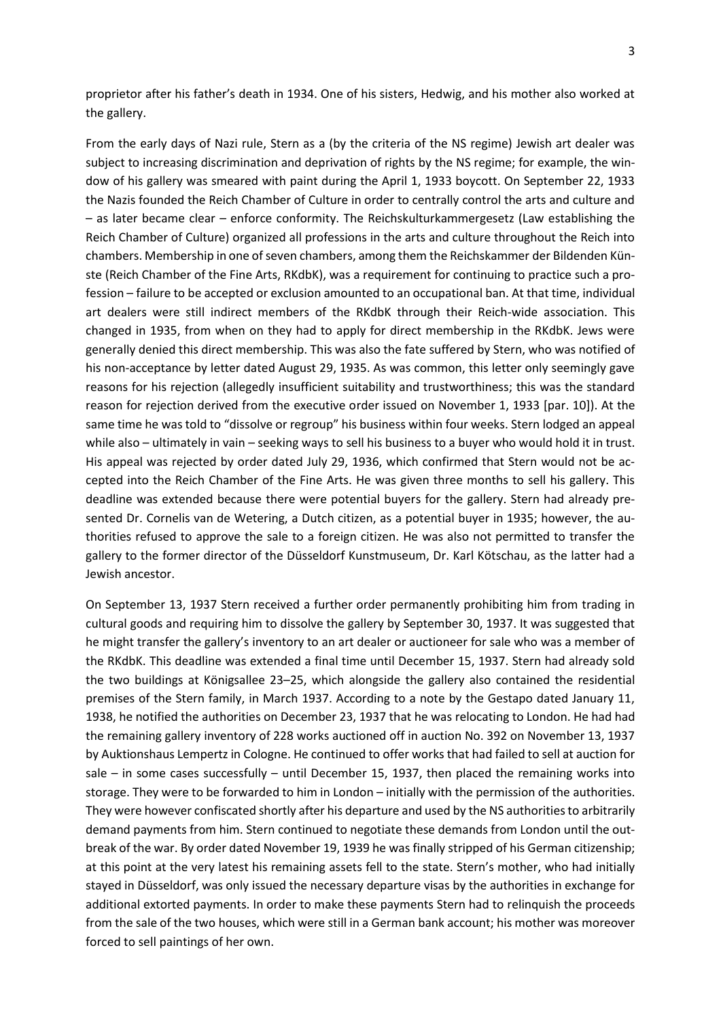proprietor after his father's death in 1934. One of his sisters, Hedwig, and his mother also worked at the gallery.

From the early days of Nazi rule, Stern as a (by the criteria of the NS regime) Jewish art dealer was subject to increasing discrimination and deprivation of rights by the NS regime; for example, the window of his gallery was smeared with paint during the April 1, 1933 boycott. On September 22, 1933 the Nazis founded the Reich Chamber of Culture in order to centrally control the arts and culture and – as later became clear – enforce conformity. The Reichskulturkammergesetz (Law establishing the Reich Chamber of Culture) organized all professions in the arts and culture throughout the Reich into chambers. Membership in one of seven chambers, among them the Reichskammer der Bildenden Künste (Reich Chamber of the Fine Arts, RKdbK), was a requirement for continuing to practice such a profession – failure to be accepted or exclusion amounted to an occupational ban. At that time, individual art dealers were still indirect members of the RKdbK through their Reich-wide association. This changed in 1935, from when on they had to apply for direct membership in the RKdbK. Jews were generally denied this direct membership. This was also the fate suffered by Stern, who was notified of his non-acceptance by letter dated August 29, 1935. As was common, this letter only seemingly gave reasons for his rejection (allegedly insufficient suitability and trustworthiness; this was the standard reason for rejection derived from the executive order issued on November 1, 1933 [par. 10]). At the same time he was told to "dissolve or regroup" his business within four weeks. Stern lodged an appeal while also – ultimately in vain – seeking ways to sell his business to a buyer who would hold it in trust. His appeal was rejected by order dated July 29, 1936, which confirmed that Stern would not be accepted into the Reich Chamber of the Fine Arts. He was given three months to sell his gallery. This deadline was extended because there were potential buyers for the gallery. Stern had already presented Dr. Cornelis van de Wetering, a Dutch citizen, as a potential buyer in 1935; however, the authorities refused to approve the sale to a foreign citizen. He was also not permitted to transfer the gallery to the former director of the Düsseldorf Kunstmuseum, Dr. Karl Kötschau, as the latter had a Jewish ancestor.

On September 13, 1937 Stern received a further order permanently prohibiting him from trading in cultural goods and requiring him to dissolve the gallery by September 30, 1937. It was suggested that he might transfer the gallery's inventory to an art dealer or auctioneer for sale who was a member of the RKdbK. This deadline was extended a final time until December 15, 1937. Stern had already sold the two buildings at Königsallee 23–25, which alongside the gallery also contained the residential premises of the Stern family, in March 1937. According to a note by the Gestapo dated January 11, 1938, he notified the authorities on December 23, 1937 that he was relocating to London. He had had the remaining gallery inventory of 228 works auctioned off in auction No. 392 on November 13, 1937 by Auktionshaus Lempertz in Cologne. He continued to offer works that had failed to sell at auction for sale – in some cases successfully – until December 15, 1937, then placed the remaining works into storage. They were to be forwarded to him in London – initially with the permission of the authorities. They were however confiscated shortly after his departure and used by the NS authorities to arbitrarily demand payments from him. Stern continued to negotiate these demands from London until the outbreak of the war. By order dated November 19, 1939 he was finally stripped of his German citizenship; at this point at the very latest his remaining assets fell to the state. Stern's mother, who had initially stayed in Düsseldorf, was only issued the necessary departure visas by the authorities in exchange for additional extorted payments. In order to make these payments Stern had to relinquish the proceeds from the sale of the two houses, which were still in a German bank account; his mother was moreover forced to sell paintings of her own.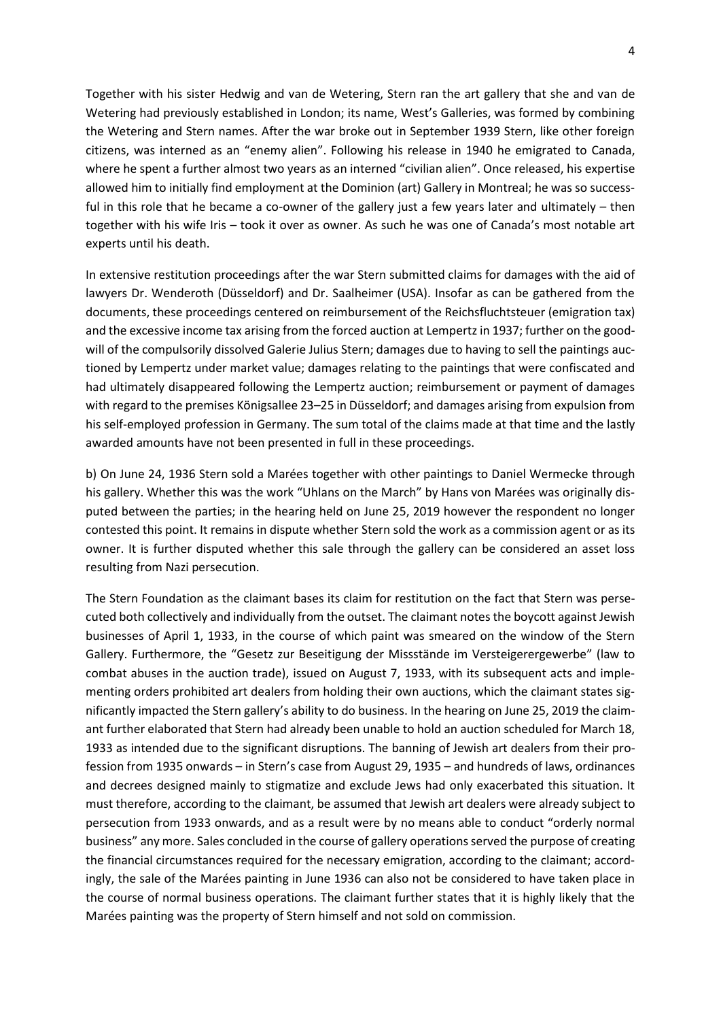Together with his sister Hedwig and van de Wetering, Stern ran the art gallery that she and van de Wetering had previously established in London; its name, West's Galleries, was formed by combining the Wetering and Stern names. After the war broke out in September 1939 Stern, like other foreign citizens, was interned as an "enemy alien". Following his release in 1940 he emigrated to Canada, where he spent a further almost two years as an interned "civilian alien". Once released, his expertise allowed him to initially find employment at the Dominion (art) Gallery in Montreal; he was so successful in this role that he became a co-owner of the gallery just a few years later and ultimately – then together with his wife Iris – took it over as owner. As such he was one of Canada's most notable art experts until his death.

In extensive restitution proceedings after the war Stern submitted claims for damages with the aid of lawyers Dr. Wenderoth (Düsseldorf) and Dr. Saalheimer (USA). Insofar as can be gathered from the documents, these proceedings centered on reimbursement of the Reichsfluchtsteuer (emigration tax) and the excessive income tax arising from the forced auction at Lempertz in 1937; further on the goodwill of the compulsorily dissolved Galerie Julius Stern; damages due to having to sell the paintings auctioned by Lempertz under market value; damages relating to the paintings that were confiscated and had ultimately disappeared following the Lempertz auction; reimbursement or payment of damages with regard to the premises Königsallee 23–25 in Düsseldorf; and damages arising from expulsion from his self-employed profession in Germany. The sum total of the claims made at that time and the lastly awarded amounts have not been presented in full in these proceedings.

b) On June 24, 1936 Stern sold a Marées together with other paintings to Daniel Wermecke through his gallery. Whether this was the work "Uhlans on the March" by Hans von Marées was originally disputed between the parties; in the hearing held on June 25, 2019 however the respondent no longer contested this point. It remains in dispute whether Stern sold the work as a commission agent or as its owner. It is further disputed whether this sale through the gallery can be considered an asset loss resulting from Nazi persecution.

The Stern Foundation as the claimant bases its claim for restitution on the fact that Stern was persecuted both collectively and individually from the outset. The claimant notes the boycott against Jewish businesses of April 1, 1933, in the course of which paint was smeared on the window of the Stern Gallery. Furthermore, the "Gesetz zur Beseitigung der Missstände im Versteigerergewerbe" (law to combat abuses in the auction trade), issued on August 7, 1933, with its subsequent acts and implementing orders prohibited art dealers from holding their own auctions, which the claimant states significantly impacted the Stern gallery's ability to do business. In the hearing on June 25, 2019 the claimant further elaborated that Stern had already been unable to hold an auction scheduled for March 18, 1933 as intended due to the significant disruptions. The banning of Jewish art dealers from their profession from 1935 onwards – in Stern's case from August 29, 1935 – and hundreds of laws, ordinances and decrees designed mainly to stigmatize and exclude Jews had only exacerbated this situation. It must therefore, according to the claimant, be assumed that Jewish art dealers were already subject to persecution from 1933 onwards, and as a result were by no means able to conduct "orderly normal business" any more. Sales concluded in the course of gallery operations served the purpose of creating the financial circumstances required for the necessary emigration, according to the claimant; accordingly, the sale of the Marées painting in June 1936 can also not be considered to have taken place in the course of normal business operations. The claimant further states that it is highly likely that the Marées painting was the property of Stern himself and not sold on commission.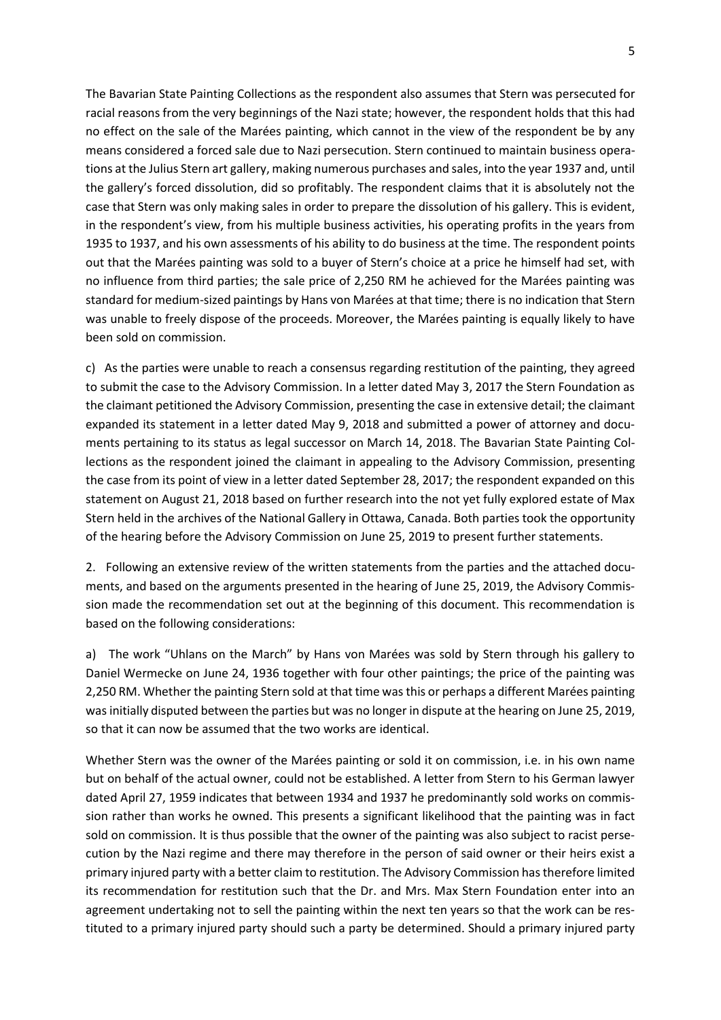The Bavarian State Painting Collections as the respondent also assumes that Stern was persecuted for racial reasons from the very beginnings of the Nazi state; however, the respondent holds that this had no effect on the sale of the Marées painting, which cannot in the view of the respondent be by any means considered a forced sale due to Nazi persecution. Stern continued to maintain business operations at the Julius Stern art gallery, making numerous purchases and sales, into the year 1937 and, until the gallery's forced dissolution, did so profitably. The respondent claims that it is absolutely not the case that Stern was only making sales in order to prepare the dissolution of his gallery. This is evident, in the respondent's view, from his multiple business activities, his operating profits in the years from 1935 to 1937, and his own assessments of his ability to do business at the time. The respondent points out that the Marées painting was sold to a buyer of Stern's choice at a price he himself had set, with no influence from third parties; the sale price of 2,250 RM he achieved for the Marées painting was standard for medium-sized paintings by Hans von Marées at that time; there is no indication that Stern was unable to freely dispose of the proceeds. Moreover, the Marées painting is equally likely to have been sold on commission.

c) As the parties were unable to reach a consensus regarding restitution of the painting, they agreed to submit the case to the Advisory Commission. In a letter dated May 3, 2017 the Stern Foundation as the claimant petitioned the Advisory Commission, presenting the case in extensive detail; the claimant expanded its statement in a letter dated May 9, 2018 and submitted a power of attorney and documents pertaining to its status as legal successor on March 14, 2018. The Bavarian State Painting Collections as the respondent joined the claimant in appealing to the Advisory Commission, presenting the case from its point of view in a letter dated September 28, 2017; the respondent expanded on this statement on August 21, 2018 based on further research into the not yet fully explored estate of Max Stern held in the archives of the National Gallery in Ottawa, Canada. Both parties took the opportunity of the hearing before the Advisory Commission on June 25, 2019 to present further statements.

2. Following an extensive review of the written statements from the parties and the attached documents, and based on the arguments presented in the hearing of June 25, 2019, the Advisory Commission made the recommendation set out at the beginning of this document. This recommendation is based on the following considerations:

a) The work "Uhlans on the March" by Hans von Marées was sold by Stern through his gallery to Daniel Wermecke on June 24, 1936 together with four other paintings; the price of the painting was 2,250 RM. Whether the painting Stern sold at that time was this or perhaps a different Marées painting was initially disputed between the parties but was no longer in dispute at the hearing on June 25, 2019, so that it can now be assumed that the two works are identical.

Whether Stern was the owner of the Marées painting or sold it on commission, i.e. in his own name but on behalf of the actual owner, could not be established. A letter from Stern to his German lawyer dated April 27, 1959 indicates that between 1934 and 1937 he predominantly sold works on commission rather than works he owned. This presents a significant likelihood that the painting was in fact sold on commission. It is thus possible that the owner of the painting was also subject to racist persecution by the Nazi regime and there may therefore in the person of said owner or their heirs exist a primary injured party with a better claim to restitution. The Advisory Commission has therefore limited its recommendation for restitution such that the Dr. and Mrs. Max Stern Foundation enter into an agreement undertaking not to sell the painting within the next ten years so that the work can be restituted to a primary injured party should such a party be determined. Should a primary injured party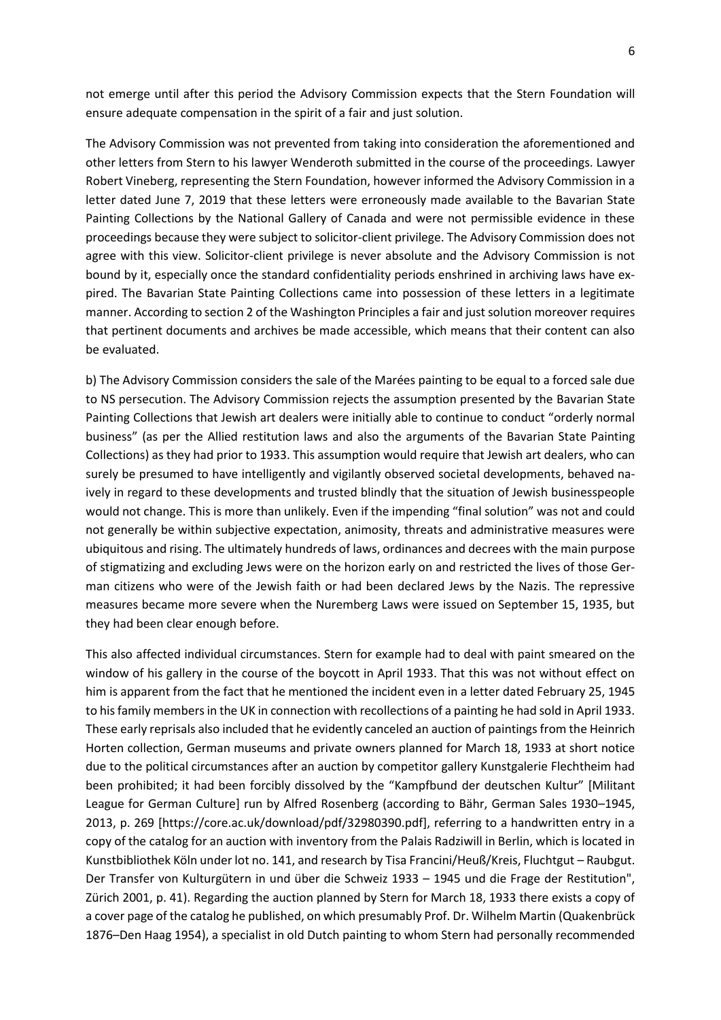not emerge until after this period the Advisory Commission expects that the Stern Foundation will ensure adequate compensation in the spirit of a fair and just solution.

The Advisory Commission was not prevented from taking into consideration the aforementioned and other letters from Stern to his lawyer Wenderoth submitted in the course of the proceedings. Lawyer Robert Vineberg, representing the Stern Foundation, however informed the Advisory Commission in a letter dated June 7, 2019 that these letters were erroneously made available to the Bavarian State Painting Collections by the National Gallery of Canada and were not permissible evidence in these proceedings because they were subject to solicitor-client privilege. The Advisory Commission does not agree with this view. Solicitor-client privilege is never absolute and the Advisory Commission is not bound by it, especially once the standard confidentiality periods enshrined in archiving laws have expired. The Bavarian State Painting Collections came into possession of these letters in a legitimate manner. According to section 2 of the Washington Principles a fair and just solution moreover requires that pertinent documents and archives be made accessible, which means that their content can also be evaluated.

b) The Advisory Commission considers the sale of the Marées painting to be equal to a forced sale due to NS persecution. The Advisory Commission rejects the assumption presented by the Bavarian State Painting Collections that Jewish art dealers were initially able to continue to conduct "orderly normal business" (as per the Allied restitution laws and also the arguments of the Bavarian State Painting Collections) as they had prior to 1933. This assumption would require that Jewish art dealers, who can surely be presumed to have intelligently and vigilantly observed societal developments, behaved naively in regard to these developments and trusted blindly that the situation of Jewish businesspeople would not change. This is more than unlikely. Even if the impending "final solution" was not and could not generally be within subjective expectation, animosity, threats and administrative measures were ubiquitous and rising. The ultimately hundreds of laws, ordinances and decrees with the main purpose of stigmatizing and excluding Jews were on the horizon early on and restricted the lives of those German citizens who were of the Jewish faith or had been declared Jews by the Nazis. The repressive measures became more severe when the Nuremberg Laws were issued on September 15, 1935, but they had been clear enough before.

This also affected individual circumstances. Stern for example had to deal with paint smeared on the window of his gallery in the course of the boycott in April 1933. That this was not without effect on him is apparent from the fact that he mentioned the incident even in a letter dated February 25, 1945 to his family members in the UK in connection with recollections of a painting he had sold in April 1933. These early reprisals also included that he evidently canceled an auction of paintings from the Heinrich Horten collection, German museums and private owners planned for March 18, 1933 at short notice due to the political circumstances after an auction by competitor gallery Kunstgalerie Flechtheim had been prohibited; it had been forcibly dissolved by the "Kampfbund der deutschen Kultur" [Militant League for German Culture] run by Alfred Rosenberg (according to Bähr, German Sales 1930–1945, 2013, p. 269 [https://core.ac.uk/download/pdf/32980390.pdf], referring to a handwritten entry in a copy of the catalog for an auction with inventory from the Palais Radziwill in Berlin, which is located in Kunstbibliothek Köln under lot no. 141, and research by Tisa Francini/Heuß/Kreis, Fluchtgut – Raubgut. Der Transfer von Kulturgütern in und über die Schweiz 1933 – 1945 und die Frage der Restitution", Zürich 2001, p. 41). Regarding the auction planned by Stern for March 18, 1933 there exists a copy of a cover page of the catalog he published, on which presumably Prof. Dr. Wilhelm Martin (Quakenbrück 1876–Den Haag 1954), a specialist in old Dutch painting to whom Stern had personally recommended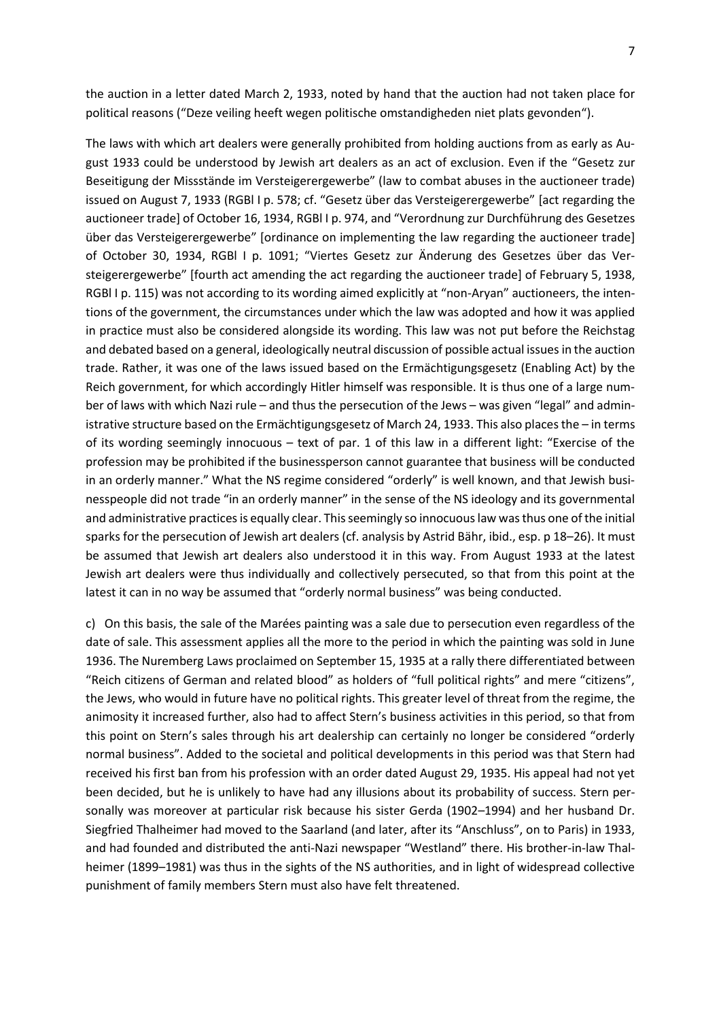the auction in a letter dated March 2, 1933, noted by hand that the auction had not taken place for political reasons ("Deze veiling heeft wegen politische omstandigheden niet plats gevonden").

The laws with which art dealers were generally prohibited from holding auctions from as early as August 1933 could be understood by Jewish art dealers as an act of exclusion. Even if the "Gesetz zur Beseitigung der Missstände im Versteigerergewerbe" (law to combat abuses in the auctioneer trade) issued on August 7, 1933 (RGBl I p. 578; cf. "Gesetz über das Versteigerergewerbe" [act regarding the auctioneer trade] of October 16, 1934, RGBl I p. 974, and "Verordnung zur Durchführung des Gesetzes über das Versteigerergewerbe" [ordinance on implementing the law regarding the auctioneer trade] of October 30, 1934, RGBl I p. 1091; "Viertes Gesetz zur Änderung des Gesetzes über das Versteigerergewerbe" [fourth act amending the act regarding the auctioneer trade] of February 5, 1938, RGBl I p. 115) was not according to its wording aimed explicitly at "non-Aryan" auctioneers, the intentions of the government, the circumstances under which the law was adopted and how it was applied in practice must also be considered alongside its wording. This law was not put before the Reichstag and debated based on a general, ideologically neutral discussion of possible actual issues in the auction trade. Rather, it was one of the laws issued based on the Ermächtigungsgesetz (Enabling Act) by the Reich government, for which accordingly Hitler himself was responsible. It is thus one of a large number of laws with which Nazi rule – and thus the persecution of the Jews – was given "legal" and administrative structure based on the Ermächtigungsgesetz of March 24, 1933. This also places the – in terms of its wording seemingly innocuous – text of par. 1 of this law in a different light: "Exercise of the profession may be prohibited if the businessperson cannot guarantee that business will be conducted in an orderly manner." What the NS regime considered "orderly" is well known, and that Jewish businesspeople did not trade "in an orderly manner" in the sense of the NS ideology and its governmental and administrative practices is equally clear. This seemingly so innocuous law was thus one of the initial sparks for the persecution of Jewish art dealers (cf. analysis by Astrid Bähr, ibid., esp. p 18–26). It must be assumed that Jewish art dealers also understood it in this way. From August 1933 at the latest Jewish art dealers were thus individually and collectively persecuted, so that from this point at the latest it can in no way be assumed that "orderly normal business" was being conducted.

c) On this basis, the sale of the Marées painting was a sale due to persecution even regardless of the date of sale. This assessment applies all the more to the period in which the painting was sold in June 1936. The Nuremberg Laws proclaimed on September 15, 1935 at a rally there differentiated between "Reich citizens of German and related blood" as holders of "full political rights" and mere "citizens", the Jews, who would in future have no political rights. This greater level of threat from the regime, the animosity it increased further, also had to affect Stern's business activities in this period, so that from this point on Stern's sales through his art dealership can certainly no longer be considered "orderly normal business". Added to the societal and political developments in this period was that Stern had received his first ban from his profession with an order dated August 29, 1935. His appeal had not yet been decided, but he is unlikely to have had any illusions about its probability of success. Stern personally was moreover at particular risk because his sister Gerda (1902–1994) and her husband Dr. Siegfried Thalheimer had moved to the Saarland (and later, after its "Anschluss", on to Paris) in 1933, and had founded and distributed the anti-Nazi newspaper "Westland" there. His brother-in-law Thalheimer (1899–1981) was thus in the sights of the NS authorities, and in light of widespread collective punishment of family members Stern must also have felt threatened.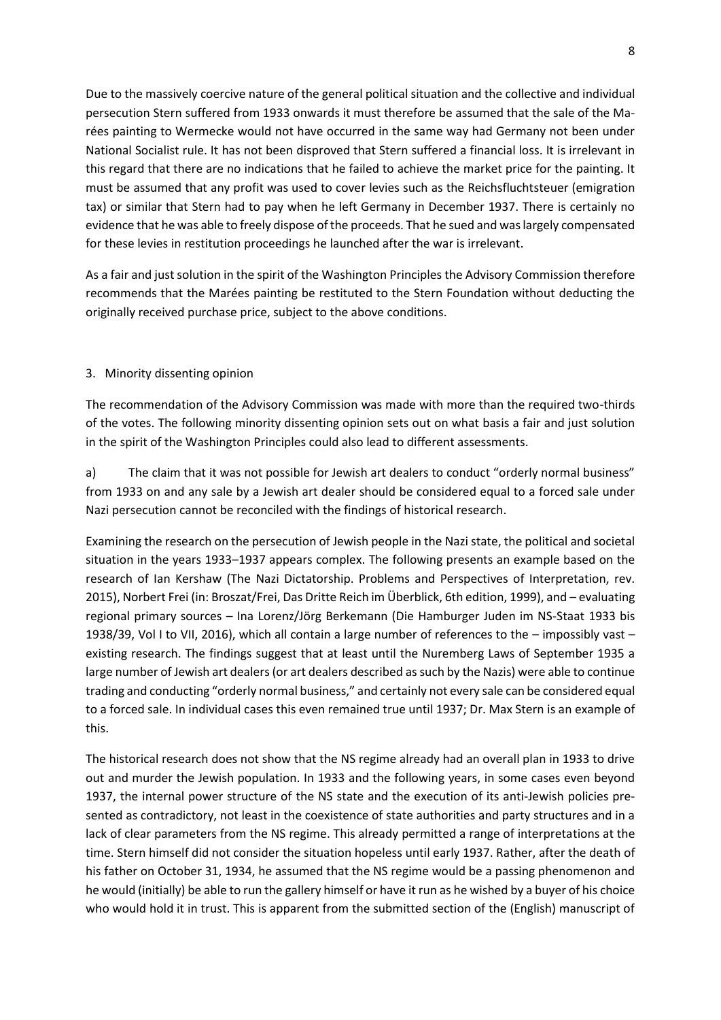Due to the massively coercive nature of the general political situation and the collective and individual persecution Stern suffered from 1933 onwards it must therefore be assumed that the sale of the Marées painting to Wermecke would not have occurred in the same way had Germany not been under National Socialist rule. It has not been disproved that Stern suffered a financial loss. It is irrelevant in this regard that there are no indications that he failed to achieve the market price for the painting. It must be assumed that any profit was used to cover levies such as the Reichsfluchtsteuer (emigration tax) or similar that Stern had to pay when he left Germany in December 1937. There is certainly no evidence that he was able to freely dispose of the proceeds. That he sued and was largely compensated for these levies in restitution proceedings he launched after the war is irrelevant.

As a fair and just solution in the spirit of the Washington Principles the Advisory Commission therefore recommends that the Marées painting be restituted to the Stern Foundation without deducting the originally received purchase price, subject to the above conditions.

### 3. Minority dissenting opinion

The recommendation of the Advisory Commission was made with more than the required two-thirds of the votes. The following minority dissenting opinion sets out on what basis a fair and just solution in the spirit of the Washington Principles could also lead to different assessments.

a) The claim that it was not possible for Jewish art dealers to conduct "orderly normal business" from 1933 on and any sale by a Jewish art dealer should be considered equal to a forced sale under Nazi persecution cannot be reconciled with the findings of historical research.

Examining the research on the persecution of Jewish people in the Nazi state, the political and societal situation in the years 1933–1937 appears complex. The following presents an example based on the research of Ian Kershaw (The Nazi Dictatorship. Problems and Perspectives of Interpretation, rev. 2015), Norbert Frei (in: Broszat/Frei, Das Dritte Reich im Überblick, 6th edition, 1999), and – evaluating regional primary sources – Ina Lorenz/Jörg Berkemann (Die Hamburger Juden im NS-Staat 1933 bis 1938/39, Vol I to VII, 2016), which all contain a large number of references to the – impossibly vast – existing research. The findings suggest that at least until the Nuremberg Laws of September 1935 a large number of Jewish art dealers (or art dealers described as such by the Nazis) were able to continue trading and conducting "orderly normal business," and certainly not every sale can be considered equal to a forced sale. In individual cases this even remained true until 1937; Dr. Max Stern is an example of this.

The historical research does not show that the NS regime already had an overall plan in 1933 to drive out and murder the Jewish population. In 1933 and the following years, in some cases even beyond 1937, the internal power structure of the NS state and the execution of its anti-Jewish policies presented as contradictory, not least in the coexistence of state authorities and party structures and in a lack of clear parameters from the NS regime. This already permitted a range of interpretations at the time. Stern himself did not consider the situation hopeless until early 1937. Rather, after the death of his father on October 31, 1934, he assumed that the NS regime would be a passing phenomenon and he would (initially) be able to run the gallery himself or have it run as he wished by a buyer of his choice who would hold it in trust. This is apparent from the submitted section of the (English) manuscript of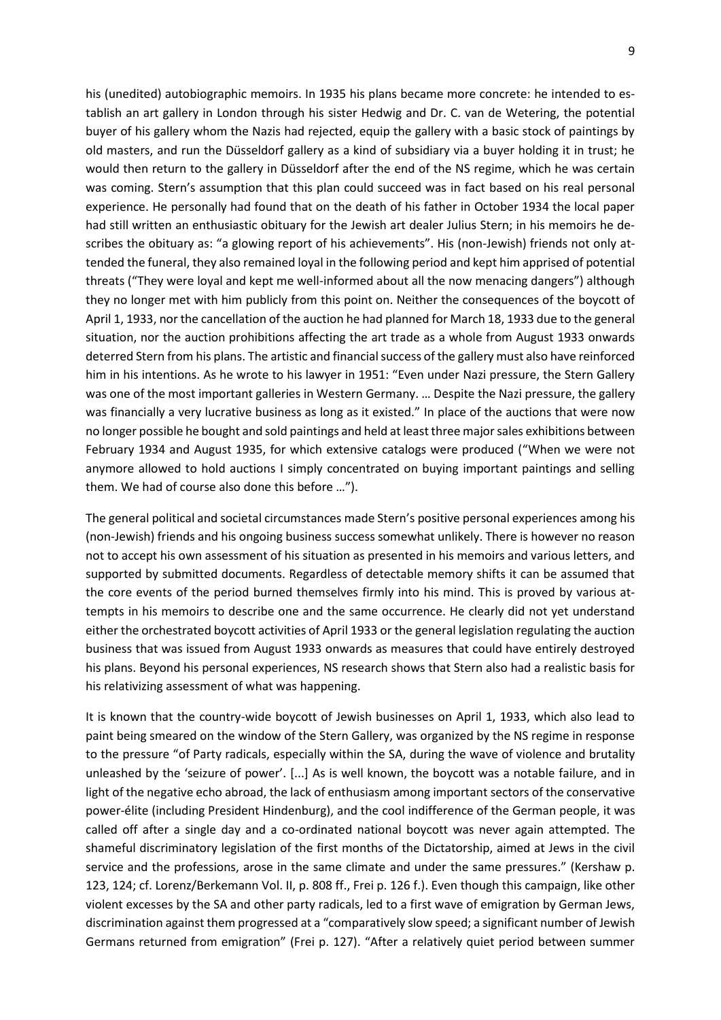his (unedited) autobiographic memoirs. In 1935 his plans became more concrete: he intended to establish an art gallery in London through his sister Hedwig and Dr. C. van de Wetering, the potential buyer of his gallery whom the Nazis had rejected, equip the gallery with a basic stock of paintings by old masters, and run the Düsseldorf gallery as a kind of subsidiary via a buyer holding it in trust; he would then return to the gallery in Düsseldorf after the end of the NS regime, which he was certain was coming. Stern's assumption that this plan could succeed was in fact based on his real personal experience. He personally had found that on the death of his father in October 1934 the local paper had still written an enthusiastic obituary for the Jewish art dealer Julius Stern; in his memoirs he describes the obituary as: "a glowing report of his achievements". His (non-Jewish) friends not only attended the funeral, they also remained loyal in the following period and kept him apprised of potential threats ("They were loyal and kept me well-informed about all the now menacing dangers") although they no longer met with him publicly from this point on. Neither the consequences of the boycott of April 1, 1933, nor the cancellation of the auction he had planned for March 18, 1933 due to the general situation, nor the auction prohibitions affecting the art trade as a whole from August 1933 onwards deterred Stern from his plans. The artistic and financial success of the gallery must also have reinforced him in his intentions. As he wrote to his lawyer in 1951: "Even under Nazi pressure, the Stern Gallery was one of the most important galleries in Western Germany. … Despite the Nazi pressure, the gallery was financially a very lucrative business as long as it existed." In place of the auctions that were now no longer possible he bought and sold paintings and held at least three major sales exhibitions between February 1934 and August 1935, for which extensive catalogs were produced ("When we were not anymore allowed to hold auctions I simply concentrated on buying important paintings and selling them. We had of course also done this before …").

The general political and societal circumstances made Stern's positive personal experiences among his (non-Jewish) friends and his ongoing business success somewhat unlikely. There is however no reason not to accept his own assessment of his situation as presented in his memoirs and various letters, and supported by submitted documents. Regardless of detectable memory shifts it can be assumed that the core events of the period burned themselves firmly into his mind. This is proved by various attempts in his memoirs to describe one and the same occurrence. He clearly did not yet understand either the orchestrated boycott activities of April 1933 or the general legislation regulating the auction business that was issued from August 1933 onwards as measures that could have entirely destroyed his plans. Beyond his personal experiences, NS research shows that Stern also had a realistic basis for his relativizing assessment of what was happening.

It is known that the country-wide boycott of Jewish businesses on April 1, 1933, which also lead to paint being smeared on the window of the Stern Gallery, was organized by the NS regime in response to the pressure "of Party radicals, especially within the SA, during the wave of violence and brutality unleashed by the 'seizure of power'. [...] As is well known, the boycott was a notable failure, and in light of the negative echo abroad, the lack of enthusiasm among important sectors of the conservative power-élite (including President Hindenburg), and the cool indifference of the German people, it was called off after a single day and a co-ordinated national boycott was never again attempted. The shameful discriminatory legislation of the first months of the Dictatorship, aimed at Jews in the civil service and the professions, arose in the same climate and under the same pressures." (Kershaw p. 123, 124; cf. Lorenz/Berkemann Vol. II, p. 808 ff., Frei p. 126 f.). Even though this campaign, like other violent excesses by the SA and other party radicals, led to a first wave of emigration by German Jews, discrimination against them progressed at a "comparatively slow speed; a significant number of Jewish Germans returned from emigration" (Frei p. 127). "After a relatively quiet period between summer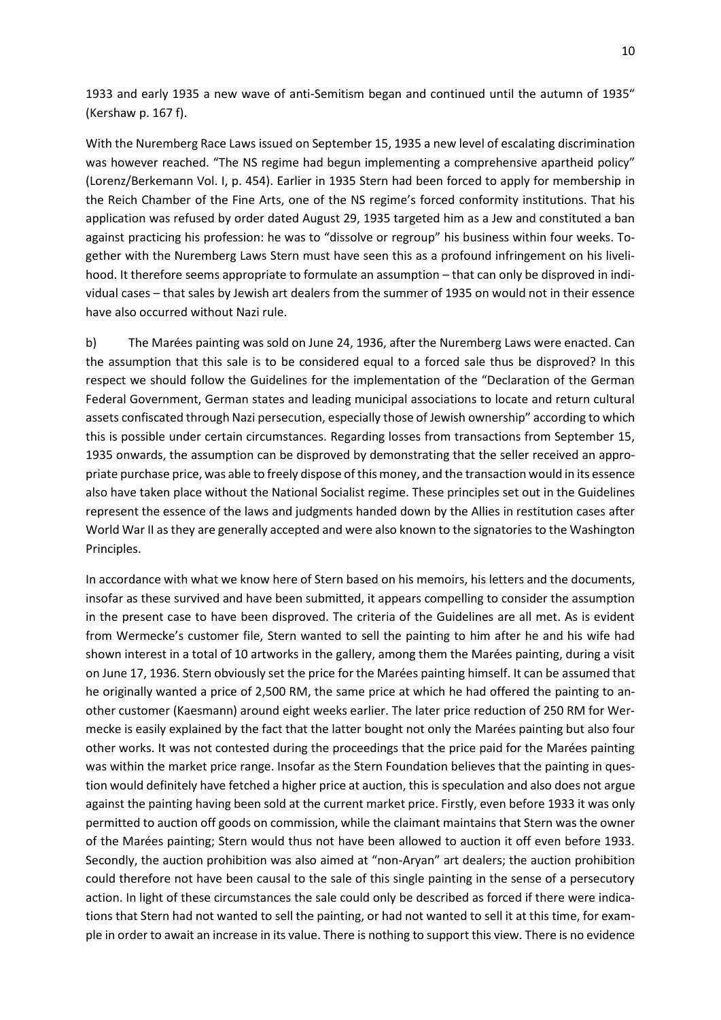1933 and early 1935 a new wave of anti-Semitism began and continued until the autumn of 1935" (Kershaw p. 167 f).

With the Nuremberg Race Laws issued on September 15, 1935 a new level of escalating discrimination was however reached. "The NS regime had begun implementing a comprehensive apartheid policy" (Lorenz/Berkemann Vol. I, p. 454). Earlier in 1935 Stern had been forced to apply for membership in the Reich Chamber of the Fine Arts, one of the NS regime's forced conformity institutions. That his application was refused by order dated August 29, 1935 targeted him as a Jew and constituted a ban against practicing his profession: he was to "dissolve or regroup" his business within four weeks. Together with the Nuremberg Laws Stern must have seen this as a profound infringement on his livelihood. It therefore seems appropriate to formulate an assumption – that can only be disproved in individual cases – that sales by Jewish art dealers from the summer of 1935 on would not in their essence have also occurred without Nazi rule.

b) The Marées painting was sold on June 24, 1936, after the Nuremberg Laws were enacted. Can the assumption that this sale is to be considered equal to a forced sale thus be disproved? In this respect we should follow the Guidelines for the implementation of the "Declaration of the German Federal Government, German states and leading municipal associations to locate and return cultural assets confiscated through Nazi persecution, especially those of Jewish ownership" according to which this is possible under certain circumstances. Regarding losses from transactions from September 15, 1935 onwards, the assumption can be disproved by demonstrating that the seller received an appropriate purchase price, was able to freely dispose of this money, and the transaction would in its essence also have taken place without the National Socialist regime. These principles set out in the Guidelines represent the essence of the laws and judgments handed down by the Allies in restitution cases after World War II as they are generally accepted and were also known to the signatories to the Washington Principles.

In accordance with what we know here of Stern based on his memoirs, his letters and the documents, insofar as these survived and have been submitted, it appears compelling to consider the assumption in the present case to have been disproved. The criteria of the Guidelines are all met. As is evident from Wermecke's customer file, Stern wanted to sell the painting to him after he and his wife had shown interest in a total of 10 artworks in the gallery, among them the Marées painting, during a visit on June 17, 1936. Stern obviously set the price for the Marées painting himself. It can be assumed that he originally wanted a price of 2,500 RM, the same price at which he had offered the painting to another customer (Kaesmann) around eight weeks earlier. The later price reduction of 250 RM for Wermecke is easily explained by the fact that the latter bought not only the Marées painting but also four other works. It was not contested during the proceedings that the price paid for the Marées painting was within the market price range. Insofar as the Stern Foundation believes that the painting in question would definitely have fetched a higher price at auction, this is speculation and also does not argue against the painting having been sold at the current market price. Firstly, even before 1933 it was only permitted to auction off goods on commission, while the claimant maintains that Stern was the owner of the Marées painting; Stern would thus not have been allowed to auction it off even before 1933. Secondly, the auction prohibition was also aimed at "non-Aryan" art dealers; the auction prohibition could therefore not have been causal to the sale of this single painting in the sense of a persecutory action. In light of these circumstances the sale could only be described as forced if there were indications that Stern had not wanted to sell the painting, or had not wanted to sell it at this time, for example in order to await an increase in its value. There is nothing to support this view. There is no evidence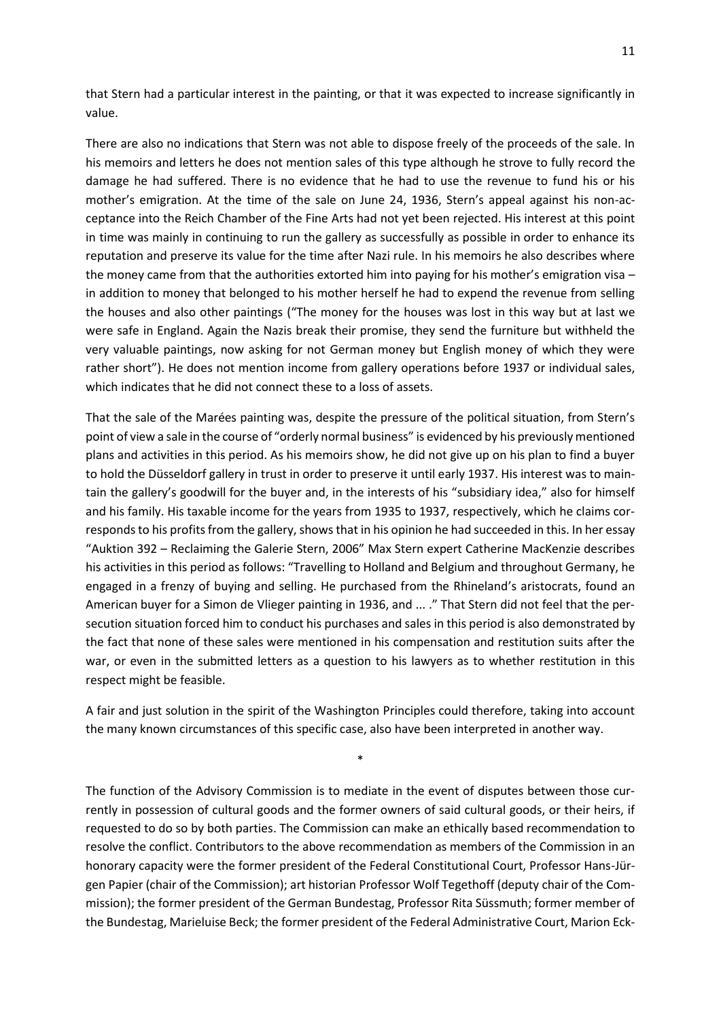that Stern had a particular interest in the painting, or that it was expected to increase significantly in value.

There are also no indications that Stern was not able to dispose freely of the proceeds of the sale. In his memoirs and letters he does not mention sales of this type although he strove to fully record the damage he had suffered. There is no evidence that he had to use the revenue to fund his or his mother's emigration. At the time of the sale on June 24, 1936, Stern's appeal against his non-acceptance into the Reich Chamber of the Fine Arts had not yet been rejected. His interest at this point in time was mainly in continuing to run the gallery as successfully as possible in order to enhance its reputation and preserve its value for the time after Nazi rule. In his memoirs he also describes where the money came from that the authorities extorted him into paying for his mother's emigration visa – in addition to money that belonged to his mother herself he had to expend the revenue from selling the houses and also other paintings ("The money for the houses was lost in this way but at last we were safe in England. Again the Nazis break their promise, they send the furniture but withheld the very valuable paintings, now asking for not German money but English money of which they were rather short"). He does not mention income from gallery operations before 1937 or individual sales, which indicates that he did not connect these to a loss of assets.

That the sale of the Marées painting was, despite the pressure of the political situation, from Stern's point of view a sale in the course of "orderly normal business" is evidenced by his previously mentioned plans and activities in this period. As his memoirs show, he did not give up on his plan to find a buyer to hold the Düsseldorf gallery in trust in order to preserve it until early 1937. His interest was to maintain the gallery's goodwill for the buyer and, in the interests of his "subsidiary idea," also for himself and his family. His taxable income for the years from 1935 to 1937, respectively, which he claims corresponds to his profits from the gallery, shows that in his opinion he had succeeded in this. In her essay "Auktion 392 – Reclaiming the Galerie Stern, 2006" Max Stern expert Catherine MacKenzie describes his activities in this period as follows: "Travelling to Holland and Belgium and throughout Germany, he engaged in a frenzy of buying and selling. He purchased from the Rhineland's aristocrats, found an American buyer for a Simon de Vlieger painting in 1936, and ... ." That Stern did not feel that the persecution situation forced him to conduct his purchases and sales in this period is also demonstrated by the fact that none of these sales were mentioned in his compensation and restitution suits after the war, or even in the submitted letters as a question to his lawyers as to whether restitution in this respect might be feasible.

A fair and just solution in the spirit of the Washington Principles could therefore, taking into account the many known circumstances of this specific case, also have been interpreted in another way.

\*

The function of the Advisory Commission is to mediate in the event of disputes between those currently in possession of cultural goods and the former owners of said cultural goods, or their heirs, if requested to do so by both parties. The Commission can make an ethically based recommendation to resolve the conflict. Contributors to the above recommendation as members of the Commission in an honorary capacity were the former president of the Federal Constitutional Court, Professor Hans-Jürgen Papier (chair of the Commission); art historian Professor Wolf Tegethoff (deputy chair of the Commission); the former president of the German Bundestag, Professor Rita Süssmuth; former member of the Bundestag, Marieluise Beck; the former president of the Federal Administrative Court, Marion Eck-